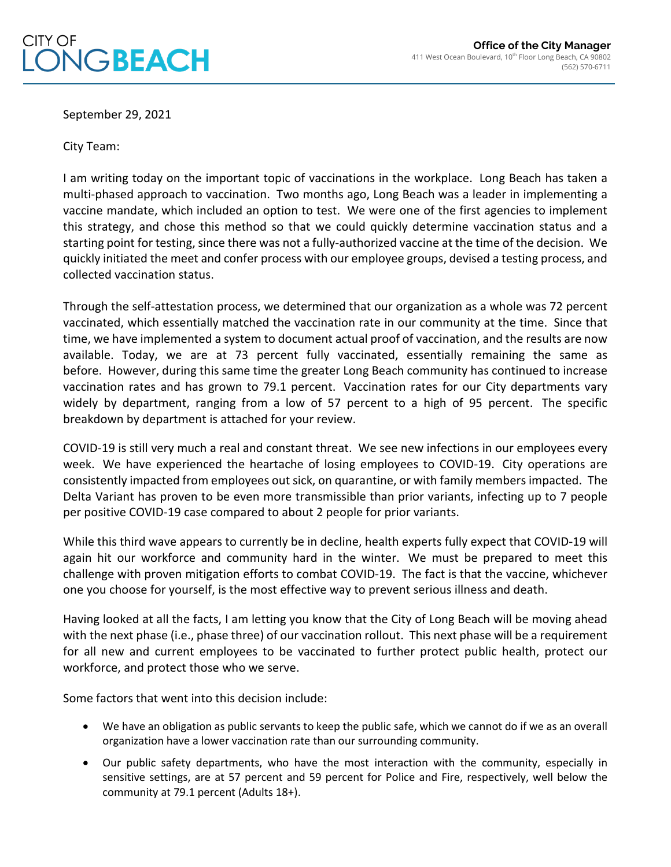

September 29, 2021

**NGBEACH** 

City Team:

CITY OF

I am writing today on the important topic of vaccinations in the workplace. Long Beach has taken a multi-phased approach to vaccination. Two months ago, Long Beach was a leader in implementing a vaccine mandate, which included an option to test. We were one of the first agencies to implement this strategy, and chose this method so that we could quickly determine vaccination status and a starting point for testing, since there was not a fully-authorized vaccine at the time of the decision. We quickly initiated the meet and confer process with our employee groups, devised a testing process, and collected vaccination status.

Through the self-attestation process, we determined that our organization as a whole was 72 percent vaccinated, which essentially matched the vaccination rate in our community at the time. Since that time, we have implemented a system to document actual proof of vaccination, and the results are now available. Today, we are at 73 percent fully vaccinated, essentially remaining the same as before. However, during this same time the greater Long Beach community has continued to increase vaccination rates and has grown to 79.1 percent. Vaccination rates for our City departments vary widely by department, ranging from a low of 57 percent to a high of 95 percent. The specific breakdown by department is attached for your review.

COVID-19 is still very much a real and constant threat. We see new infections in our employees every week. We have experienced the heartache of losing employees to COVID-19. City operations are consistently impacted from employees out sick, on quarantine, or with family members impacted. The Delta Variant has proven to be even more transmissible than prior variants, infecting up to 7 people per positive COVID-19 case compared to about 2 people for prior variants.

While this third wave appears to currently be in decline, health experts fully expect that COVID-19 will again hit our workforce and community hard in the winter. We must be prepared to meet this challenge with proven mitigation efforts to combat COVID-19. The fact is that the vaccine, whichever one you choose for yourself, is the most effective way to prevent serious illness and death.

Having looked at all the facts, I am letting you know that the City of Long Beach will be moving ahead with the next phase (i.e., phase three) of our vaccination rollout. This next phase will be a requirement for all new and current employees to be vaccinated to further protect public health, protect our workforce, and protect those who we serve.

Some factors that went into this decision include:

- We have an obligation as public servants to keep the public safe, which we cannot do if we as an overall organization have a lower vaccination rate than our surrounding community.
- Our public safety departments, who have the most interaction with the community, especially in sensitive settings, are at 57 percent and 59 percent for Police and Fire, respectively, well below the community at 79.1 percent (Adults 18+).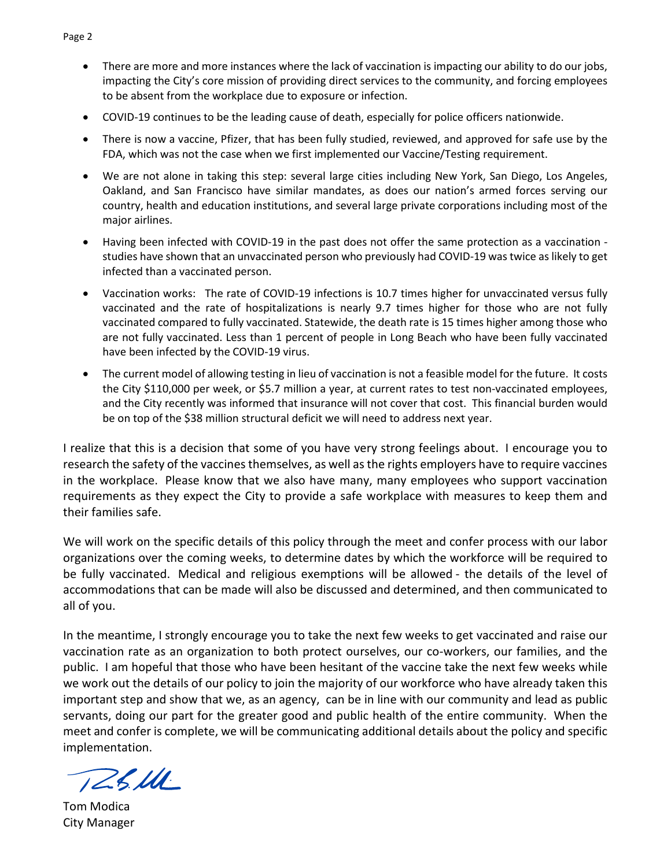- There are more and more instances where the lack of vaccination is impacting our ability to do our jobs, impacting the City's core mission of providing direct services to the community, and forcing employees to be absent from the workplace due to exposure or infection.
- COVID-19 continues to be the leading cause of death, especially for police officers nationwide.
- There is now a vaccine, Pfizer, that has been fully studied, reviewed, and approved for safe use by the FDA, which was not the case when we first implemented our Vaccine/Testing requirement.
- We are not alone in taking this step: several large cities including New York, San Diego, Los Angeles, Oakland, and San Francisco have similar mandates, as does our nation's armed forces serving our country, health and education institutions, and several large private corporations including most of the major airlines.
- Having been infected with COVID-19 in the past does not offer the same protection as a vaccination studies have shown that an unvaccinated person who previously had COVID-19 was twice as likely to get infected than a vaccinated person.
- Vaccination works: The rate of COVID-19 infections is 10.7 times higher for unvaccinated versus fully vaccinated and the rate of hospitalizations is nearly 9.7 times higher for those who are not fully vaccinated compared to fully vaccinated. Statewide, the death rate is 15 times higher among those who are not fully vaccinated. Less than 1 percent of people in Long Beach who have been fully vaccinated have been infected by the COVID-19 virus.
- The current model of allowing testing in lieu of vaccination is not a feasible model for the future. It costs the City \$110,000 per week, or \$5.7 million a year, at current rates to test non-vaccinated employees, and the City recently was informed that insurance will not cover that cost. This financial burden would be on top of the \$38 million structural deficit we will need to address next year.

I realize that this is a decision that some of you have very strong feelings about. I encourage you to research the safety of the vaccines themselves, as well as the rights employers have to require vaccines in the workplace. Please know that we also have many, many employees who support vaccination requirements as they expect the City to provide a safe workplace with measures to keep them and their families safe.

We will work on the specific details of this policy through the meet and confer process with our labor organizations over the coming weeks, to determine dates by which the workforce will be required to be fully vaccinated. Medical and religious exemptions will be allowed - the details of the level of accommodations that can be made will also be discussed and determined, and then communicated to all of you.

In the meantime, I strongly encourage you to take the next few weeks to get vaccinated and raise our vaccination rate as an organization to both protect ourselves, our co-workers, our families, and the public. I am hopeful that those who have been hesitant of the vaccine take the next few weeks while we work out the details of our policy to join the majority of our workforce who have already taken this important step and show that we, as an agency, can be in line with our community and lead as public servants, doing our part for the greater good and public health of the entire community. When the meet and confer is complete, we will be communicating additional details about the policy and specific implementation.

125. UL

Tom Modica City Manager